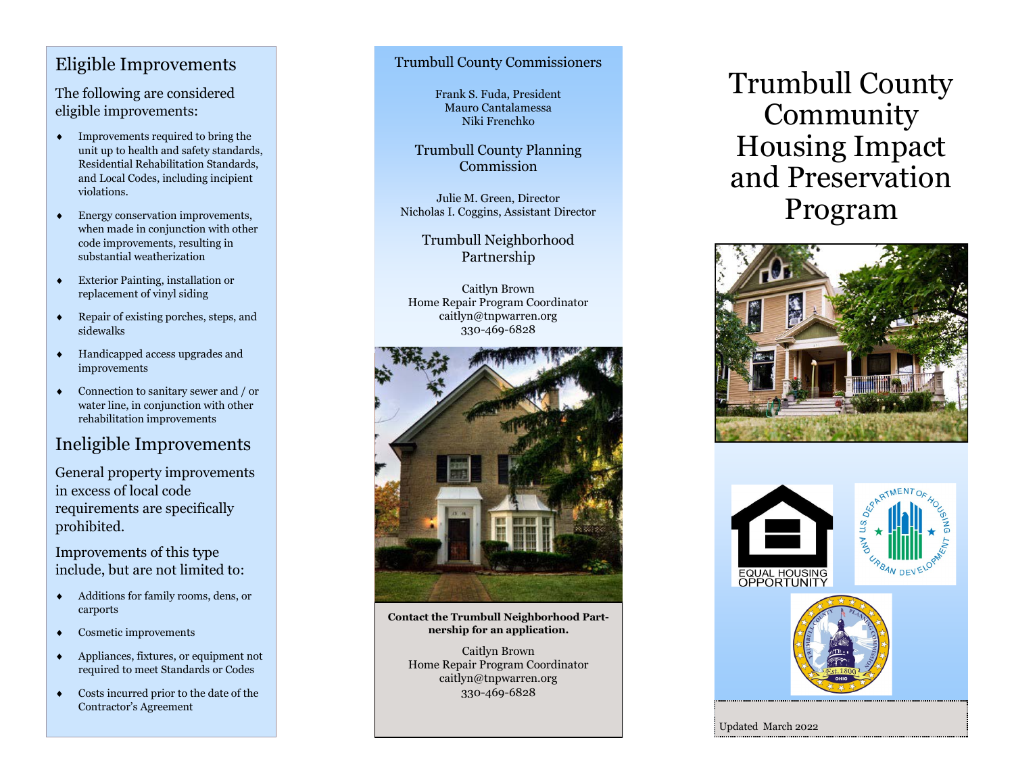## Eligible Improvements

The following are considered eligible improvements:

- $\bullet$  Improvements required to bring the unit up to health and safety standards, Residential Rehabilitation Standards, and Local Codes, including incipient violations.
- Energy conservation improvements, when made in conjunction with other code improvements, resulting in substantial weatherization
- Exterior Painting, installation or replacement of vinyl siding
- ◆ Repair of existing porches, steps, and sidewalks
- Handicapped access upgrades and improvements
- Connection to sanitary sewer and / or water line, in conjunction with other rehabilitation improvements

# Ineligible Improvements

General property improvements in excess of local code requirements are specifically prohibited.

Improvements of this type include, but are not limited to:

- Additions for family rooms, dens, or carports
- Cosmetic improvements
- Appliances, fixtures, or equipment not required to meet Standards or Codes
- Costs incurred prior to the date of the Contractor 's Agreement

### Trumbull County Commissioners

Frank S. Fuda, President Mauro Cantalamessa Niki Frenchko

Trumbull County Planning Commission

Julie M. Green, Director Nicholas I. Coggins, Assistant Director

> Trumbull Neighborhood Partnership

Caitlyn Brown Home Repair Program Coordinator caitlyn@tnpwarren.org 330 -469 -6828



**Contact the Trumbull Neighborhood Partnership for an application.**

Caitlyn Brown Home Repair Program Coordinator caitlyn@tnpwarren.org 330 -469 -6828

Trumbull County Community Housing Impact and Preservation Program







Updated March 2022